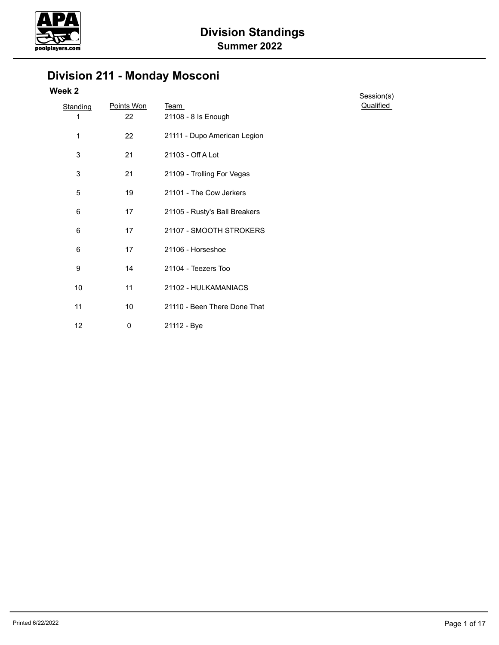

# **Division 211 - Monday Mosconi**

| <b>Standing</b><br>1 | Points Won<br>22 | <u>Team</u><br>21108 - 8 Is Enough |
|----------------------|------------------|------------------------------------|
| 1                    | 22               | 21111 - Dupo American Legion       |
|                      |                  |                                    |
| 3                    | 21               | 21103 - Off A Lot                  |
| 3                    | 21               | 21109 - Trolling For Vegas         |
| 5                    | 19               | 21101 - The Cow Jerkers            |
| 6                    | 17               | 21105 - Rusty's Ball Breakers      |
| 6                    | 17               | 21107 - SMOOTH STROKERS            |
| 6                    | 17               | 21106 - Horseshoe                  |
| 9                    | 14               | 21104 - Teezers Too                |
| 10                   | 11               | 21102 - HULKAMANIACS               |
| 11                   | 10               | 21110 - Been There Done That       |
| 12                   | 0                | 21112 - Bye                        |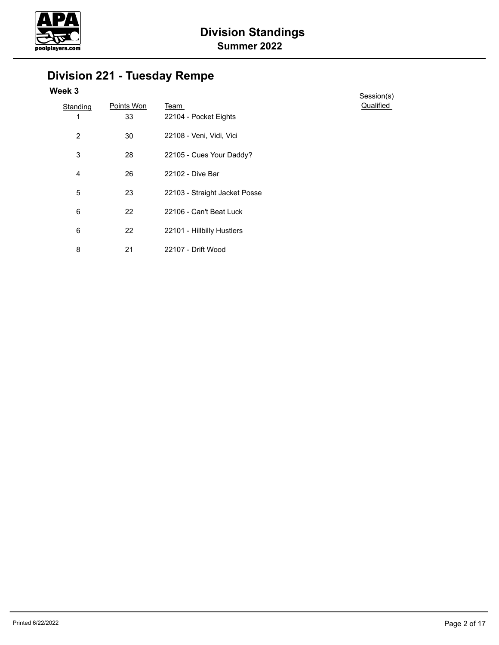

# **Division 221 - Tuesday Rempe**

| <b>Standing</b> | Points Won | Team                          |
|-----------------|------------|-------------------------------|
| 1               | 33         | 22104 - Pocket Eights         |
| 2               | 30         | 22108 - Veni, Vidi, Vici      |
| 3               | 28         | 22105 - Cues Your Daddy?      |
| 4               | 26         | 22102 - Dive Bar              |
| 5               | 23         | 22103 - Straight Jacket Posse |
| 6               | 22         | 22106 - Can't Beat Luck       |
| 6               | 22         | 22101 - Hillbilly Hustlers    |
| 8               | 21         | 22107 - Drift Wood            |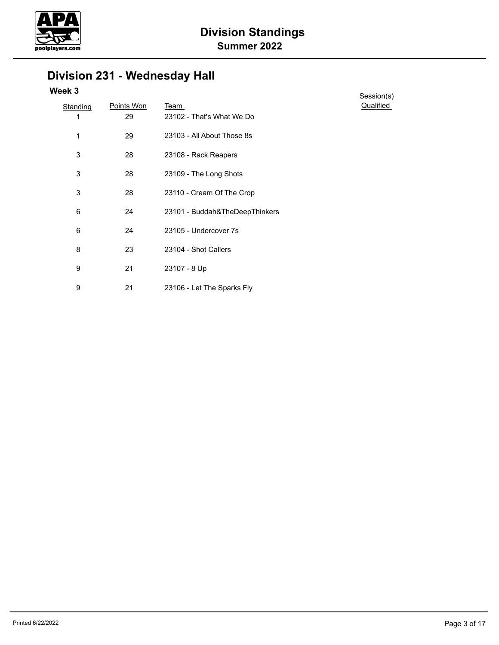

# **Division 231 - Wednesday Hall**

| Standing | Points Won | <u>Team</u>                    |
|----------|------------|--------------------------------|
| 1        | 29         | 23102 - That's What We Do      |
| 1        | 29         | 23103 - All About Those 8s     |
| 3        | 28         | 23108 - Rack Reapers           |
| 3        | 28         | 23109 - The Long Shots         |
| 3        | 28         | 23110 - Cream Of The Crop      |
| 6        | 24         | 23101 - Buddah&TheDeepThinkers |
| 6        | 24         | 23105 - Undercover 7s          |
| 8        | 23         | 23104 - Shot Callers           |
| 9        | 21         | 23107 - 8 Up                   |
| 9        | 21         | 23106 - Let The Sparks Fly     |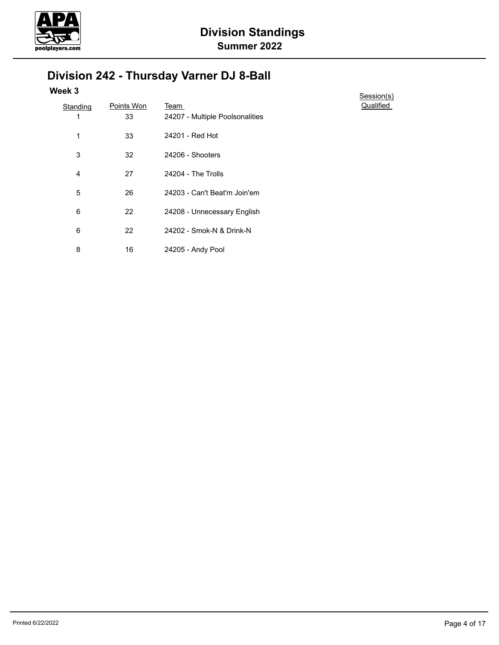

# **Division 242 - Thursday Varner DJ 8-Ball**

| <b>Standing</b> | Points Won | Team                            | Qua |
|-----------------|------------|---------------------------------|-----|
| 1               | 33         | 24207 - Multiple Poolsonalities |     |
| 1               | 33         | 24201 - Red Hot                 |     |
| 3               | 32         | 24206 - Shooters                |     |
| 4               | 27         | 24204 - The Trolls              |     |
| 5               | 26         | 24203 - Can't Beat'm Join'em    |     |
| 6               | 22         | 24208 - Unnecessary English     |     |
| 6               | 22         | 24202 - Smok-N & Drink-N        |     |
| 8               | 16         | 24205 - Andy Pool               |     |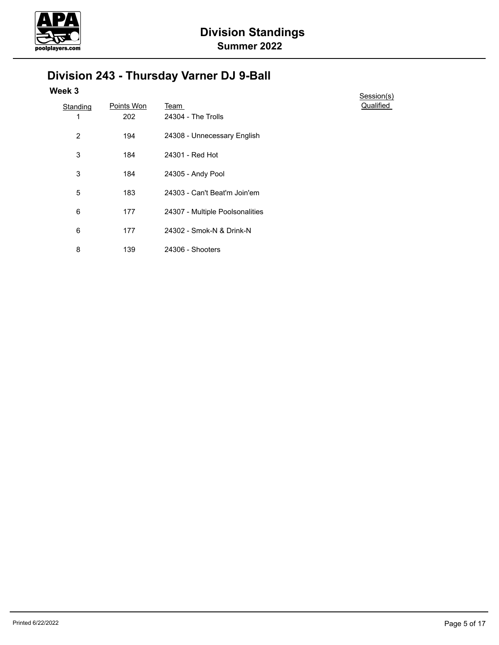

# **Division 243 - Thursday Varner DJ 9-Ball**

| <b>Standing</b> | Points Won | <u>Team</u>                     | Qua |
|-----------------|------------|---------------------------------|-----|
| 1               | 202        | 24304 - The Trolls              |     |
| 2               | 194        | 24308 - Unnecessary English     |     |
| 3               | 184        | 24301 - Red Hot                 |     |
| 3               | 184        | 24305 - Andy Pool               |     |
| 5               | 183        | 24303 - Can't Beat'm Join'em    |     |
| 6               | 177        | 24307 - Multiple Poolsonalities |     |
| 6               | 177        | 24302 - Smok-N & Drink-N        |     |
| 8               | 139        | 24306 - Shooters                |     |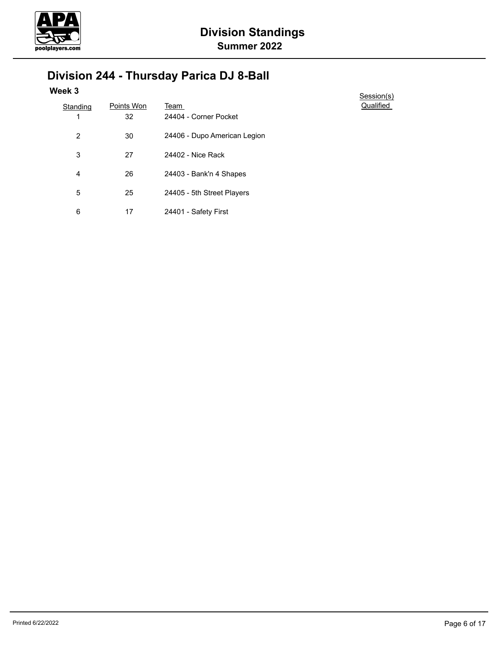

# **Division 244 - Thursday Parica DJ 8-Ball**

| Standing | Points Won | Team                         |
|----------|------------|------------------------------|
| 1        | 32         | 24404 - Corner Pocket        |
| 2        | 30         | 24406 - Dupo American Legion |
| 3        | 27         | 24402 - Nice Rack            |
| 4        | 26         | 24403 - Bank'n 4 Shapes      |
| 5        | 25         | 24405 - 5th Street Players   |
| 6        | 17         | 24401 - Safety First         |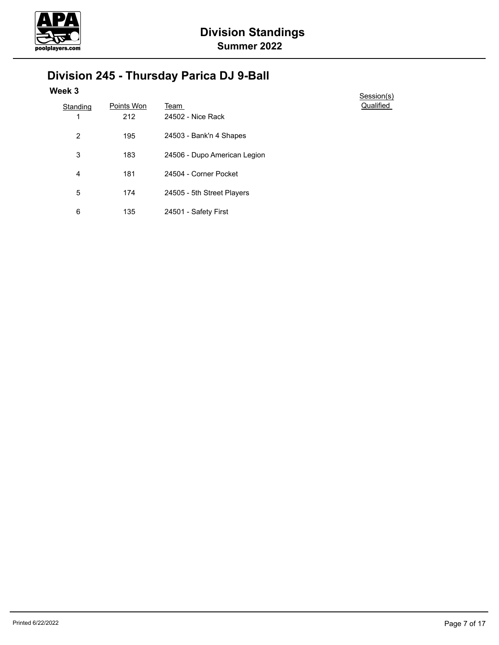

# **Division 245 - Thursday Parica DJ 9-Ball**

| <b>Standing</b> | Points Won | Team                         |
|-----------------|------------|------------------------------|
| 1               | 212        | 24502 - Nice Rack            |
| 2               | 195        | 24503 - Bank'n 4 Shapes      |
| 3               | 183        | 24506 - Dupo American Legion |
| 4               | 181        | 24504 - Corner Pocket        |
| 5               | 174        | 24505 - 5th Street Players   |
| 6               | 135        | 24501 - Safety First         |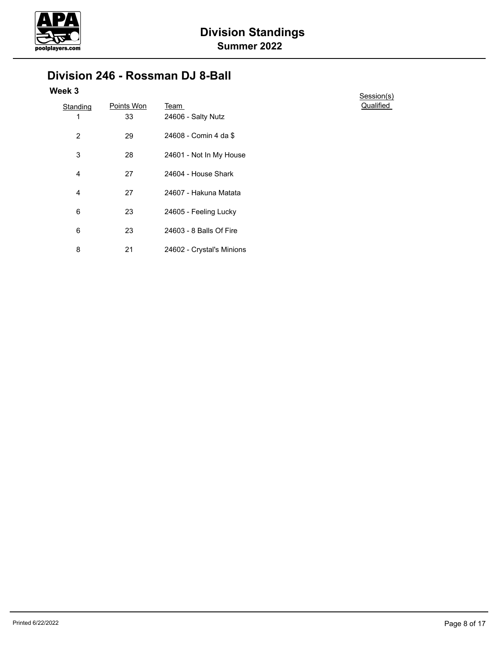

### **Division 246 - Rossman DJ 8-Ball**

| Standing       | Points Won | Team                      |
|----------------|------------|---------------------------|
| 1              | 33         | 24606 - Salty Nutz        |
| $\overline{2}$ | 29         | 24608 - Comin 4 da \$     |
| 3              | 28         | 24601 - Not In My House   |
| 4              | 27         | 24604 - House Shark       |
| 4              | 27         | 24607 - Hakuna Matata     |
| 6              | 23         | 24605 - Feeling Lucky     |
| 6              | 23         | 24603 - 8 Balls Of Fire   |
| 8              | 21         | 24602 - Crystal's Minions |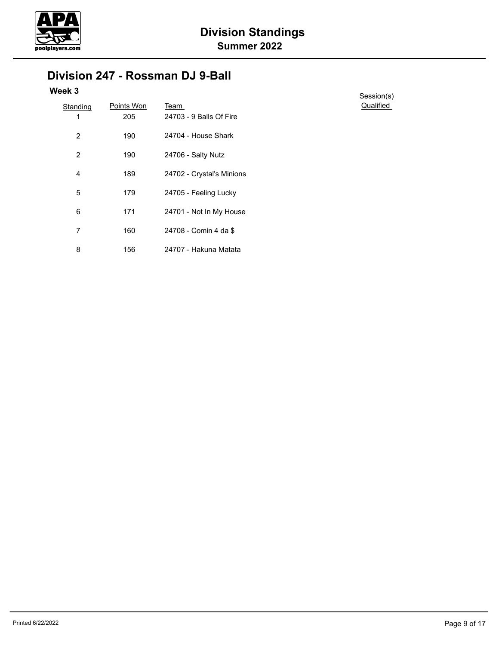

### **Division 247 - Rossman DJ 9-Ball**

| <b>Standing</b> | Points Won | Team                      |
|-----------------|------------|---------------------------|
| 1               | 205        | 24703 - 9 Balls Of Fire   |
| 2               | 190        | 24704 - House Shark       |
| $\overline{2}$  | 190        | 24706 - Salty Nutz        |
| 4               | 189        | 24702 - Crystal's Minions |
| 5               | 179        | 24705 - Feeling Lucky     |
| 6               | 171        | 24701 - Not In My House   |
| 7               | 160        | 24708 - Comin 4 da \$     |
| 8               | 156        | 24707 - Hakuna Matata     |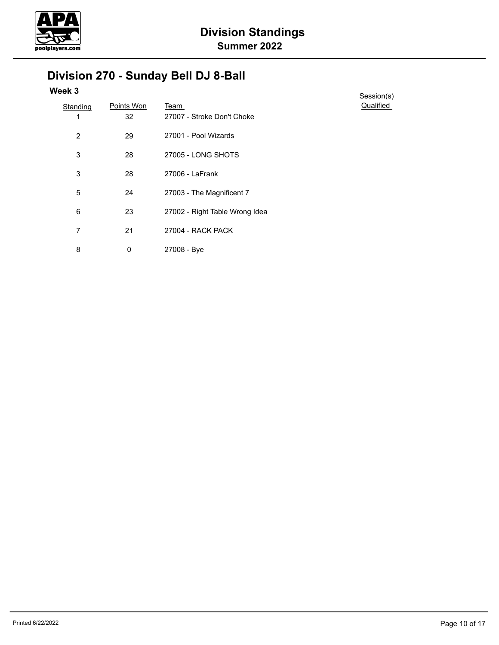

# **Division 270 - Sunday Bell DJ 8-Ball**

| Standing       | Points Won | Team                           |
|----------------|------------|--------------------------------|
| 1              | 32         | 27007 - Stroke Don't Choke     |
| $\overline{2}$ | 29         | 27001 - Pool Wizards           |
| 3              | 28         | 27005 - LONG SHOTS             |
| 3              | 28         | 27006 - LaFrank                |
| 5              | 24         | 27003 - The Magnificent 7      |
| 6              | 23         | 27002 - Right Table Wrong Idea |
| 7              | 21         | 27004 - RACK PACK              |
| 8              | 0          | 27008 - Bye                    |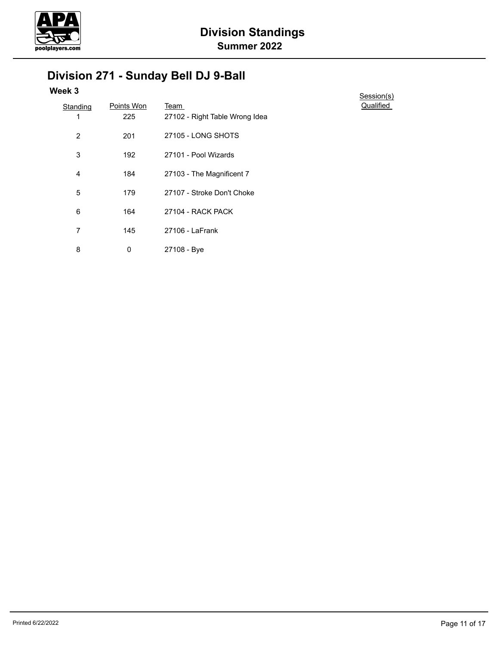

# **Division 271 - Sunday Bell DJ 9-Ball**

| Standing       | Points Won | Team                           |
|----------------|------------|--------------------------------|
| 1              | 225        | 27102 - Right Table Wrong Idea |
| $\overline{2}$ | 201        | 27105 - LONG SHOTS             |
| 3              | 192        | 27101 - Pool Wizards           |
| 4              | 184        | 27103 - The Magnificent 7      |
| 5              | 179        | 27107 - Stroke Don't Choke     |
| 6              | 164        | 27104 - RACK PACK              |
| 7              | 145        | 27106 - LaFrank                |
| 8              | 0          | 27108 - Bye                    |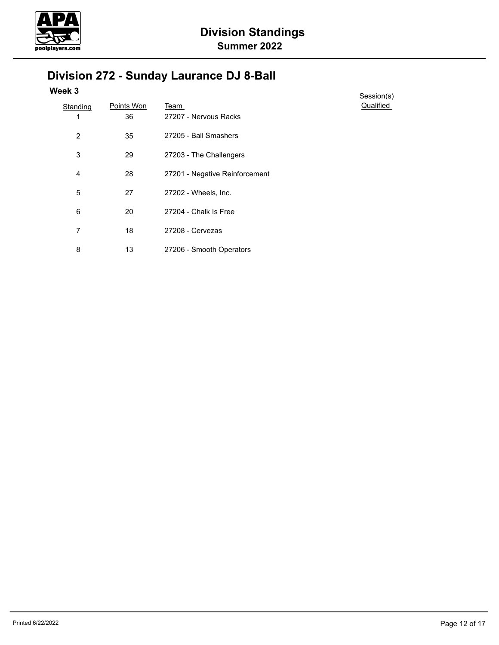

# **Division 272 - Sunday Laurance DJ 8-Ball**

| <b>Standing</b> | Points Won | Team                           |
|-----------------|------------|--------------------------------|
| 1               | 36         | 27207 - Nervous Racks          |
| $\overline{2}$  | 35         | 27205 - Ball Smashers          |
| 3               | 29         | 27203 - The Challengers        |
| 4               | 28         | 27201 - Negative Reinforcement |
| 5               | 27         | 27202 - Wheels, Inc.           |
| 6               | 20         | 27204 - Chalk Is Free          |
| 7               | 18         | 27208 - Cervezas               |
| 8               | 13         | 27206 - Smooth Operators       |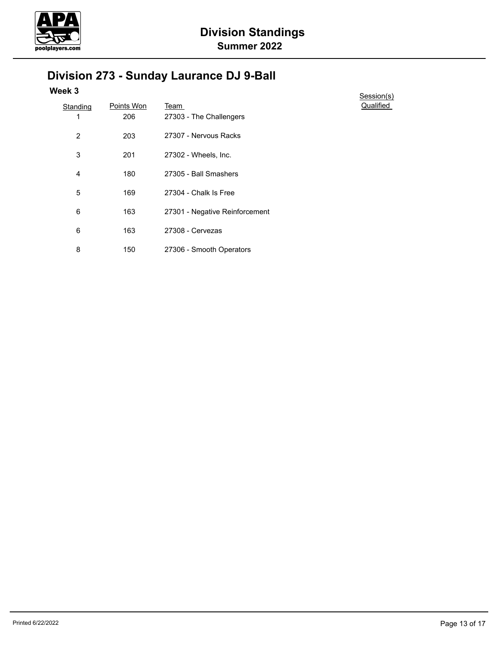

# **Division 273 - Sunday Laurance DJ 9-Ball**

| <b>Standing</b> | Points Won | Team                           |
|-----------------|------------|--------------------------------|
| 1               | 206        | 27303 - The Challengers        |
| $\overline{2}$  | 203        | 27307 - Nervous Racks          |
| 3               | 201        | 27302 - Wheels, Inc.           |
| 4               | 180        | 27305 - Ball Smashers          |
| 5               | 169        | 27304 - Chalk Is Free          |
| 6               | 163        | 27301 - Negative Reinforcement |
| 6               | 163        | 27308 - Cervezas               |
| 8               | 150        | 27306 - Smooth Operators       |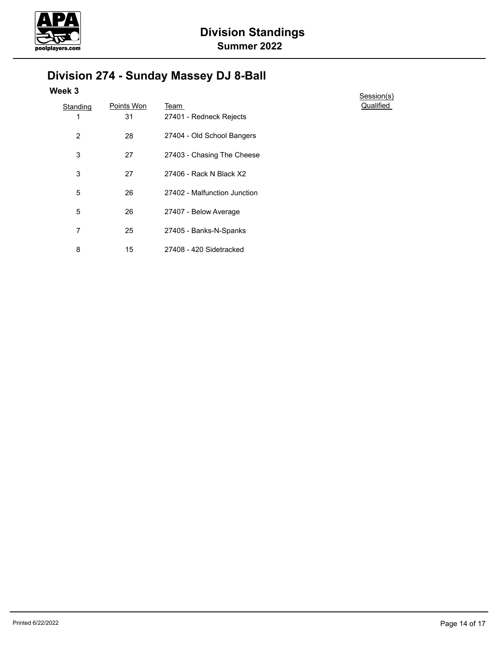

# **Division 274 - Sunday Massey DJ 8-Ball**

| <b>Standing</b> | Points Won | Team                         |
|-----------------|------------|------------------------------|
| 1               | 31         | 27401 - Redneck Rejects      |
| $\overline{2}$  | 28         | 27404 - Old School Bangers   |
| 3               | 27         | 27403 - Chasing The Cheese   |
| 3               | 27         | 27406 - Rack N Black X2      |
| 5               | 26         | 27402 - Malfunction Junction |
| 5               | 26         | 27407 - Below Average        |
| 7               | 25         | 27405 - Banks-N-Spanks       |
| 8               | 15         | 27408 - 420 Sidetracked      |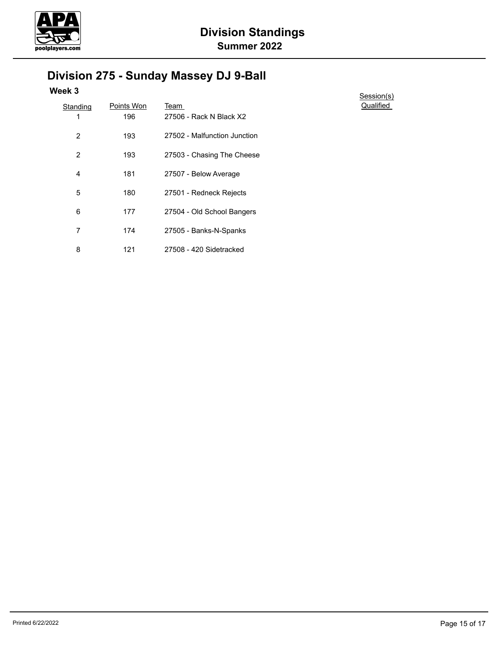

# **Division 275 - Sunday Massey DJ 9-Ball**

| <b>Standing</b> | Points Won | Team                         |
|-----------------|------------|------------------------------|
| 1               | 196        | 27506 - Rack N Black X2      |
| $\overline{2}$  | 193        | 27502 - Malfunction Junction |
| 2               | 193        | 27503 - Chasing The Cheese   |
| 4               | 181        | 27507 - Below Average        |
| 5               | 180        | 27501 - Redneck Rejects      |
| 6               | 177        | 27504 - Old School Bangers   |
| 7               | 174        | 27505 - Banks-N-Spanks       |
| 8               | 121        | 27508 - 420 Sidetracked      |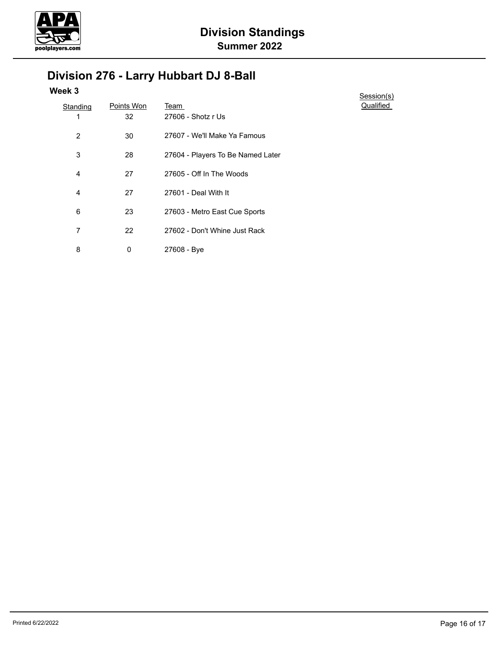

### **Division 276 - Larry Hubbart DJ 8-Ball**

| Standing | Points Won | Team                              |
|----------|------------|-----------------------------------|
| 1        | 32         | 27606 - Shotz r Us                |
| 2        | 30         | 27607 - We'll Make Ya Famous      |
| 3        | 28         | 27604 - Players To Be Named Later |
| 4        | 27         | 27605 - Off In The Woods          |
| 4        | 27         | 27601 - Deal With It              |
| 6        | 23         | 27603 - Metro East Cue Sports     |
| 7        | 22         | 27602 - Don't Whine Just Rack     |
| 8        | 0          | 27608 - Bye                       |